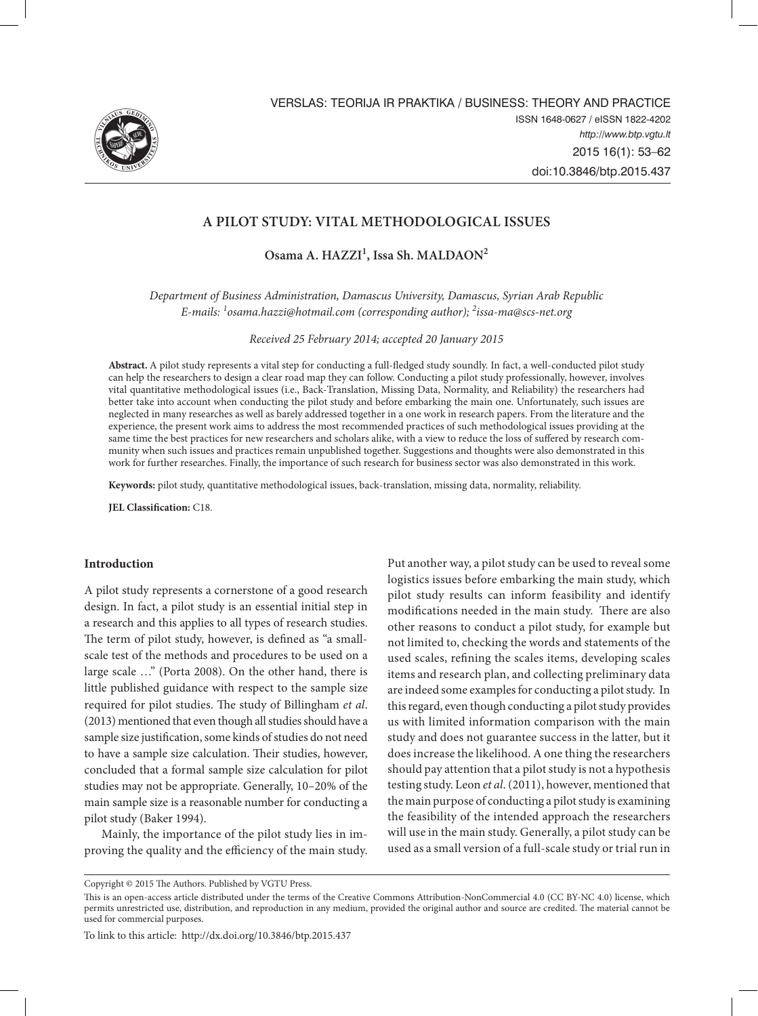

# **A Pilot Study: Vital Methodological Issues**

**Osama A. HAZZI<sup>1</sup> , Issa Sh. MALDAON<sup>2</sup>**

*Department of Business Administration, Damascus University, Damascus, Syrian Arab Republic E-mails: 1 osama.hazzi@hotmail.com (corresponding author); 2 issa-ma@scs-net.org*

*Received 25 February 2014; accepted 20 January 2015*

**Abstract.** A pilot study represents a vital step for conducting a full-fledged study soundly. In fact, a well-conducted pilot study can help the researchers to design a clear road map they can follow. Conducting a pilot study professionally, however, involves vital quantitative methodological issues (i.e., Back-Translation, Missing Data, Normality, and Reliability) the researchers had better take into account when conducting the pilot study and before embarking the main one. Unfortunately, such issues are neglected in many researches as well as barely addressed together in a one work in research papers. From the literature and the experience, the present work aims to address the most recommended practices of such methodological issues providing at the same time the best practices for new researchers and scholars alike, with a view to reduce the loss of suffered by research community when such issues and practices remain unpublished together. Suggestions and thoughts were also demonstrated in this work for further researches. Finally, the importance of such research for business sector was also demonstrated in this work.

**Keywords:** pilot study, quantitative methodological issues, back-translation, missing data, normality, reliability.

**JEL Classification:** C18.

### **Introduction**

A pilot study represents a cornerstone of a good research design. In fact, a pilot study is an essential initial step in a research and this applies to all types of research studies. The term of pilot study, however, is defined as "a smallscale test of the methods and procedures to be used on a large scale …" (Porta 2008). On the other hand, there is little published guidance with respect to the sample size required for pilot studies. The study of Billingham *et al*. (2013) mentioned that even though all studies should have a sample size justification, some kinds of studies do not need to have a sample size calculation. Their studies, however, concluded that a formal sample size calculation for pilot studies may not be appropriate. Generally, 10–20% of the main sample size is a reasonable number for conducting a pilot study (Baker 1994).

Mainly, the importance of the pilot study lies in improving the quality and the efficiency of the main study. Put another way, a pilot study can be used to reveal some logistics issues before embarking the main study, which pilot study results can inform feasibility and identify modifications needed in the main study. There are also other reasons to conduct a pilot study, for example but not limited to, checking the words and statements of the used scales, refining the scales items, developing scales items and research plan, and collecting preliminary data are indeed some examples for conducting a pilot study. In this regard, even though conducting a pilot study provides us with limited information comparison with the main study and does not guarantee success in the latter, but it does increase the likelihood. A one thing the researchers should pay attention that a pilot study is not a hypothesis testing study. Leon *et al*. (2011), however, mentioned that the main purpose of conducting a pilot study is examining the feasibility of the intended approach the researchers will use in the main study. Generally, a pilot study can be used as a small version of a full-scale study or trial run in

To link to this article: http://dx.doi.org/10.3846/btp.2015.437

Copyright © 2015 The Authors. Published by VGTU Press.

This is an open-access article distributed under the terms of the Creative Commons Attribution-NonCommercial 4.0 (CC BY-NC 4.0) license, which permits unrestricted use, distribution, and reproduction in any medium, provided the original author and source are credited. The material cannot be used for commercial purposes.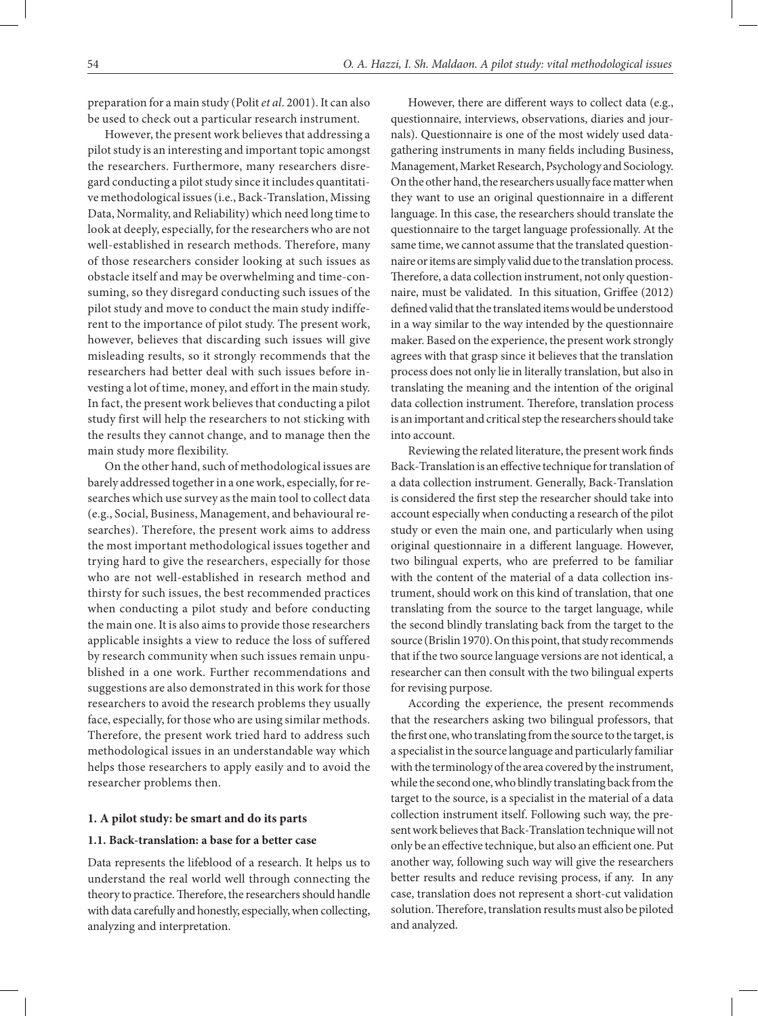preparation for a main study (Polit *et al*. 2001). It can also be used to check out a particular research instrument.

However, the present work believes that addressing a pilot study is an interesting and important topic amongst the researchers. Furthermore, many researchers disregard conducting a pilot study since it includes quantitative methodological issues (i.e., Back-Translation, Missing Data, Normality, and Reliability) which need long time to look at deeply, especially, for the researchers who are not well-established in research methods. Therefore, many of those researchers consider looking at such issues as obstacle itself and may be overwhelming and time-consuming, so they disregard conducting such issues of the pilot study and move to conduct the main study indifferent to the importance of pilot study. The present work, however, believes that discarding such issues will give misleading results, so it strongly recommends that the researchers had better deal with such issues before investing a lot of time, money, and effort in the main study. In fact, the present work believes that conducting a pilot study first will help the researchers to not sticking with the results they cannot change, and to manage then the main study more flexibility.

On the other hand, such of methodological issues are barely addressed together in a one work, especially, for researches which use survey as the main tool to collect data (e.g., Social, Business, Management, and behavioural researches). Therefore, the present work aims to address the most important methodological issues together and trying hard to give the researchers, especially for those who are not well-established in research method and thirsty for such issues, the best recommended practices when conducting a pilot study and before conducting the main one. It is also aims to provide those researchers applicable insights a view to reduce the loss of suffered by research community when such issues remain unpublished in a one work. Further recommendations and suggestions are also demonstrated in this work for those researchers to avoid the research problems they usually face, especially, for those who are using similar methods. Therefore, the present work tried hard to address such methodological issues in an understandable way which helps those researchers to apply easily and to avoid the researcher problems then.

#### **1. A pilot study: be smart and do its parts**

### **1.1. Back-translation: a base for a better case**

Data represents the lifeblood of a research. It helps us to understand the real world well through connecting the theory to practice. Therefore, the researchers should handle with data carefully and honestly, especially, when collecting, analyzing and interpretation.

However, there are different ways to collect data (e.g., questionnaire, interviews, observations, diaries and journals). Questionnaire is one of the most widely used datagathering instruments in many fields including Business, Management, Market Research, Psychology and Sociology. On the other hand, the researchers usually face matter when they want to use an original questionnaire in a different language. In this case, the researchers should translate the questionnaire to the target language professionally. At the same time, we cannot assume that the translated questionnaire or items are simply valid due to the translation process. Therefore, a data collection instrument, not only questionnaire, must be validated. In this situation, Griffee (2012) defined valid that the translated items would be understood in a way similar to the way intended by the questionnaire maker. Based on the experience, the present work strongly agrees with that grasp since it believes that the translation process does not only lie in literally translation, but also in translating the meaning and the intention of the original data collection instrument. Therefore, translation process is an important and critical step the researchers should take into account.

Reviewing the related literature, the present work finds Back-Translation is an effective technique for translation of a data collection instrument. Generally, Back-Translation is considered the first step the researcher should take into account especially when conducting a research of the pilot study or even the main one, and particularly when using original questionnaire in a different language. However, two bilingual experts, who are preferred to be familiar with the content of the material of a data collection instrument, should work on this kind of translation, that one translating from the source to the target language, while the second blindly translating back from the target to the source (Brislin 1970). On this point, that study recommends that if the two source language versions are not identical, a researcher can then consult with the two bilingual experts for revising purpose.

According the experience, the present recommends that the researchers asking two bilingual professors, that the first one, who translating from the source to the target, is a specialist in the source language and particularly familiar with the terminology of the area covered by the instrument, while the second one, who blindly translating back from the target to the source, is a specialist in the material of a data collection instrument itself. Following such way, the present work believes that Back-Translation technique will not only be an effective technique, but also an efficient one. Put another way, following such way will give the researchers better results and reduce revising process, if any. In any case, translation does not represent a short-cut validation solution. Therefore, translation results must also be piloted and analyzed.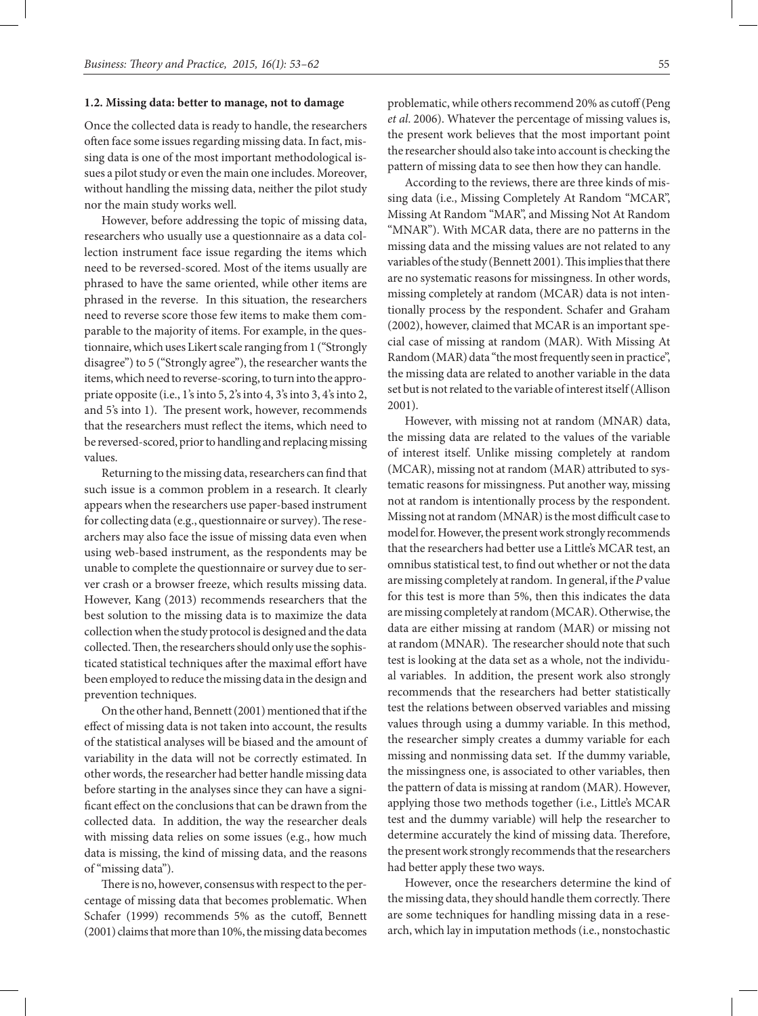### **1.2. Missing data: better to manage, not to damage**

Once the collected data is ready to handle, the researchers often face some issues regarding missing data. In fact, missing data is one of the most important methodological issues a pilot study or even the main one includes. Moreover, without handling the missing data, neither the pilot study nor the main study works well.

However, before addressing the topic of missing data, researchers who usually use a questionnaire as a data collection instrument face issue regarding the items which need to be reversed-scored. Most of the items usually are phrased to have the same oriented, while other items are phrased in the reverse. In this situation, the researchers need to reverse score those few items to make them comparable to the majority of items. For example, in the questionnaire, which uses Likert scale ranging from 1 ("Strongly disagree") to 5 ("Strongly agree"), the researcher wants the items, which need to reverse-scoring, to turn into the appropriate opposite (i.e., 1's into 5, 2's into 4, 3's into 3, 4's into 2, and 5's into 1). The present work, however, recommends that the researchers must reflect the items, which need to be reversed-scored, prior to handling and replacing missing values.

Returning to the missing data, researchers can find that such issue is a common problem in a research. It clearly appears when the researchers use paper-based instrument for collecting data (e.g., questionnaire or survey). The researchers may also face the issue of missing data even when using web-based instrument, as the respondents may be unable to complete the questionnaire or survey due to server crash or a browser freeze, which results missing data. However, Kang (2013) recommends researchers that the best solution to the missing data is to maximize the data collection when the study protocol is designed and the data collected. Then, the researchers should only use the sophisticated statistical techniques after the maximal effort have been employed to reduce the missing data in the design and prevention techniques.

On the other hand, Bennett (2001) mentioned that if the effect of missing data is not taken into account, the results of the statistical analyses will be biased and the amount of variability in the data will not be correctly estimated. In other words, the researcher had better handle missing data before starting in the analyses since they can have a significant effect on the conclusions that can be drawn from the collected data. In addition, the way the researcher deals with missing data relies on some issues (e.g., how much data is missing, the kind of missing data, and the reasons of "missing data").

There is no, however, consensus with respect to the percentage of missing data that becomes problematic. When Schafer (1999) recommends 5% as the cutoff, Bennett (2001) claims that more than 10%, the missing data becomes

problematic, while others recommend 20% as cutoff (Peng *et al*. 2006). Whatever the percentage of missing values is, the present work believes that the most important point the researcher should also take into account is checking the pattern of missing data to see then how they can handle.

According to the reviews, there are three kinds of missing data (i.e., Missing Completely At Random "MCAR", Missing At Random "MAR", and Missing Not At Random "MNAR"). With MCAR data, there are no patterns in the missing data and the missing values are not related to any variables of the study (Bennett 2001). This implies that there are no systematic reasons for missingness. In other words, missing completely at random (MCAR) data is not intentionally process by the respondent. Schafer and Graham (2002), however, claimed that MCAR is an important special case of missing at random (MAR). With Missing At Random (MAR) data "the most frequently seen in practice", the missing data are related to another variable in the data set but is not related to the variable of interest itself (Allison 2001).

However, with missing not at random (MNAR) data, the missing data are related to the values of the variable of interest itself. Unlike missing completely at random (MCAR), missing not at random (MAR) attributed to systematic reasons for missingness. Put another way, missing not at random is intentionally process by the respondent. Missing not at random (MNAR) is the most difficult case to model for. However, the present work strongly recommends that the researchers had better use a Little's MCAR test, an omnibus statistical test, to find out whether or not the data are missing completely at random. In general, if the *P* value for this test is more than 5%, then this indicates the data are missing completely at random (MCAR). Otherwise, the data are either missing at random (MAR) or missing not at random (MNAR). The researcher should note that such test is looking at the data set as a whole, not the individual variables. In addition, the present work also strongly recommends that the researchers had better statistically test the relations between observed variables and missing values through using a dummy variable. In this method, the researcher simply creates a dummy variable for each missing and nonmissing data set. If the dummy variable, the missingness one, is associated to other variables, then the pattern of data is missing at random (MAR). However, applying those two methods together (i.e., Little's MCAR test and the dummy variable) will help the researcher to determine accurately the kind of missing data. Therefore, the present work strongly recommends that the researchers had better apply these two ways.

However, once the researchers determine the kind of the missing data, they should handle them correctly. There are some techniques for handling missing data in a research, which lay in imputation methods (i.e., nonstochastic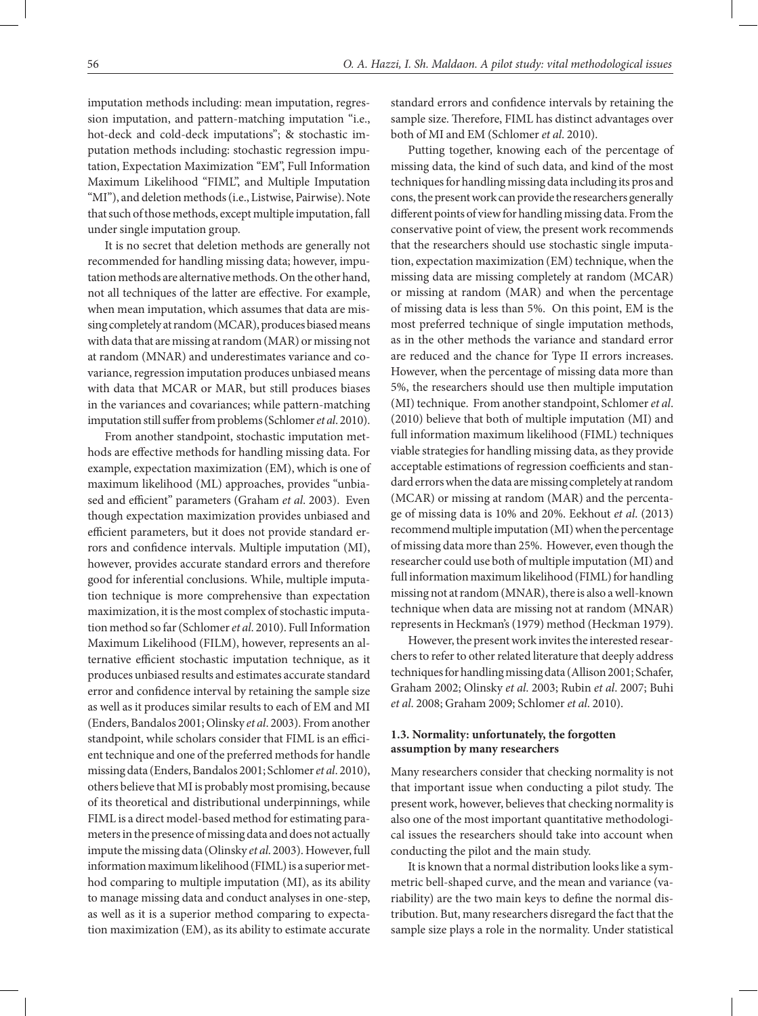imputation methods including: mean imputation, regression imputation, and pattern-matching imputation "i.e., hot-deck and cold-deck imputations"; & stochastic imputation methods including: stochastic regression imputation, Expectation Maximization "EM", Full Information Maximum Likelihood "FIML", and Multiple Imputation "MI"), and deletion methods (i.e., Listwise, Pairwise). Note that such of those methods, except multiple imputation, fall under single imputation group.

It is no secret that deletion methods are generally not recommended for handling missing data; however, imputation methods are alternative methods. On the other hand, not all techniques of the latter are effective. For example, when mean imputation, which assumes that data are missing completely at random (MCAR), produces biased means with data that are missing at random (MAR) or missing not at random (MNAR) and underestimates variance and covariance, regression imputation produces unbiased means with data that MCAR or MAR, but still produces biases in the variances and covariances; while pattern-matching imputation still suffer from problems (Schlomer *et al*. 2010).

From another standpoint, stochastic imputation methods are effective methods for handling missing data. For example, expectation maximization (EM), which is one of maximum likelihood (ML) approaches, provides "unbiased and efficient" parameters (Graham *et al*. 2003). Even though expectation maximization provides unbiased and efficient parameters, but it does not provide standard errors and confidence intervals. Multiple imputation (MI), however, provides accurate standard errors and therefore good for inferential conclusions. While, multiple imputation technique is more comprehensive than expectation maximization, it is the most complex of stochastic imputation method so far (Schlomer *et al*. 2010). Full Information Maximum Likelihood (FILM), however, represents an alternative efficient stochastic imputation technique, as it produces unbiased results and estimates accurate standard error and confidence interval by retaining the sample size as well as it produces similar results to each of EM and MI (Enders, Bandalos 2001; Olinsky *et al*. 2003). From another standpoint, while scholars consider that FIML is an efficient technique and one of the preferred methods for handle missing data (Enders, Bandalos 2001; Schlomer *et al*. 2010), others believe that MI is probably most promising, because of its theoretical and distributional underpinnings, while FIML is a direct model-based method for estimating parameters in the presence of missing data and does not actually impute the missing data (Olinsky *et al*. 2003). However, full information maximum likelihood (FIML) is a superior method comparing to multiple imputation (MI), as its ability to manage missing data and conduct analyses in one-step, as well as it is a superior method comparing to expectation maximization (EM), as its ability to estimate accurate

standard errors and confidence intervals by retaining the sample size. Therefore, FIML has distinct advantages over both of MI and EM (Schlomer *et al*. 2010).

Putting together, knowing each of the percentage of missing data, the kind of such data, and kind of the most techniques for handling missing data including its pros and cons, the present work can provide the researchers generally different points of view for handling missing data. From the conservative point of view, the present work recommends that the researchers should use stochastic single imputation, expectation maximization (EM) technique, when the missing data are missing completely at random (MCAR) or missing at random (MAR) and when the percentage of missing data is less than 5%. On this point, EM is the most preferred technique of single imputation methods, as in the other methods the variance and standard error are reduced and the chance for Type II errors increases. However, when the percentage of missing data more than 5%, the researchers should use then multiple imputation (MI) technique. From another standpoint, Schlomer *et al*. (2010) believe that both of multiple imputation (MI) and full information maximum likelihood (FIML) techniques viable strategies for handling missing data, as they provide acceptable estimations of regression coefficients and standard errors when the data are missing completely at random (MCAR) or missing at random (MAR) and the percentage of missing data is 10% and 20%. Eekhout *et al*. (2013) recommend multiple imputation (MI) when the percentage of missing data more than 25%. However, even though the researcher could use both of multiple imputation (MI) and full information maximum likelihood (FIML) for handling missing not at random (MNAR), there is also a well-known technique when data are missing not at random (MNAR) represents in Heckman's (1979) method (Heckman 1979).

However, the present work invites the interested researchers to refer to other related literature that deeply address techniques for handling missing data (Allison 2001; Schafer, Graham 2002; Olinsky *et al*. 2003; Rubin *et al*. 2007; Buhi *et al*. 2008; Graham 2009; Schlomer *et al*. 2010).

## **1.3. Normality: unfortunately, the forgotten assumption by many researchers**

Many researchers consider that checking normality is not that important issue when conducting a pilot study. The present work, however, believes that checking normality is also one of the most important quantitative methodological issues the researchers should take into account when conducting the pilot and the main study.

It is known that a normal distribution looks like a symmetric bell-shaped curve, and the mean and variance (variability) are the two main keys to define the normal distribution. But, many researchers disregard the fact that the sample size plays a role in the normality. Under statistical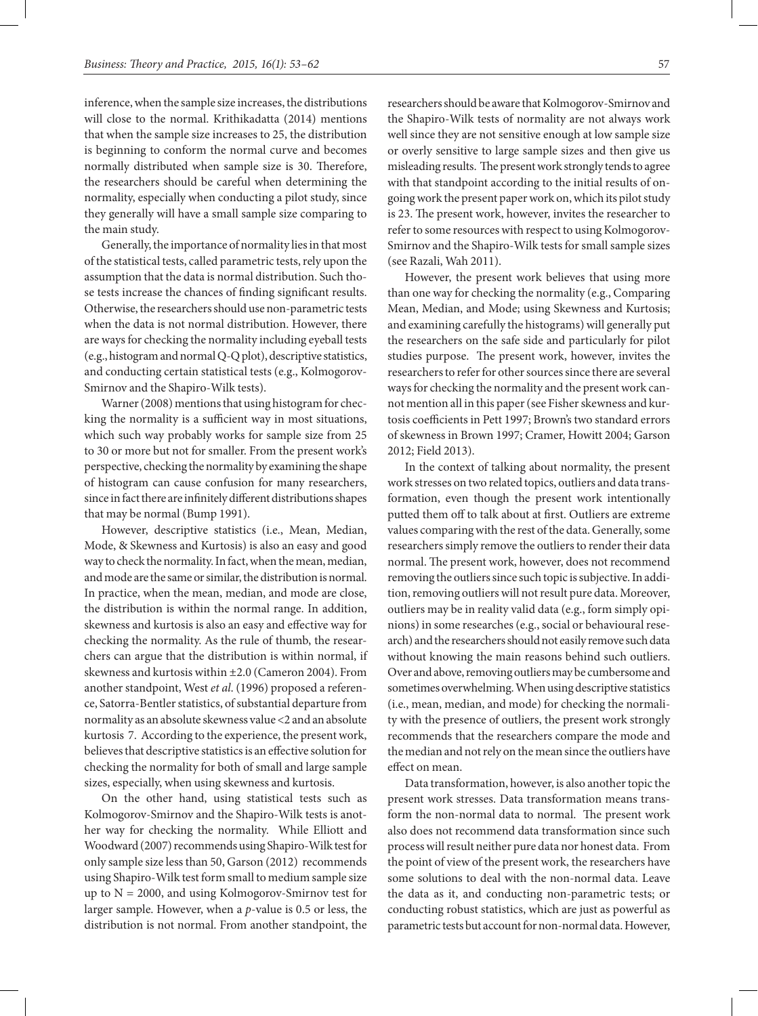inference, when the sample size increases, the distributions will close to the normal. Krithikadatta (2014) mentions that when the sample size increases to 25, the distribution is beginning to conform the normal curve and becomes normally distributed when sample size is 30. Therefore, the researchers should be careful when determining the normality, especially when conducting a pilot study, since they generally will have a small sample size comparing to the main study.

Generally, the importance of normality lies in that most of the statistical tests, called parametric tests, rely upon the assumption that the data is normal distribution. Such those tests increase the chances of finding significant results. Otherwise, the researchers should use non-parametric tests when the data is not normal distribution. However, there are ways for checking the normality including eyeball tests (e.g., histogram and normal Q-Q plot), descriptive statistics, and conducting certain statistical tests (e.g., Kolmogorov-Smirnov and the Shapiro-Wilk tests).

Warner (2008) mentions that using histogram for checking the normality is a sufficient way in most situations, which such way probably works for sample size from 25 to 30 or more but not for smaller. From the present work's perspective, checking the normality by examining the shape of histogram can cause confusion for many researchers, since in fact there are infinitely different distributions shapes that may be normal (Bump 1991).

However, descriptive statistics (i.e., Mean, Median, Mode, & Skewness and Kurtosis) is also an easy and good way to check the normality. In fact, when the mean, median, and mode are the same or similar, the distribution is normal. In practice, when the mean, median, and mode are close, the distribution is within the normal range. In addition, skewness and kurtosis is also an easy and effective way for checking the normality. As the rule of thumb, the researchers can argue that the distribution is within normal, if skewness and kurtosis within ±2.0 (Cameron 2004). From another standpoint, West *et al*. (1996) proposed a reference, Satorra-Bentler statistics, of substantial departure from normality as an absolute skewness value <2 and an absolute kurtosis 7. According to the experience, the present work, believes that descriptive statistics is an effective solution for checking the normality for both of small and large sample sizes, especially, when using skewness and kurtosis.

On the other hand, using statistical tests such as Kolmogorov-Smirnov and the Shapiro-Wilk tests is another way for checking the normality. While Elliott and Woodward (2007) recommends using Shapiro-Wilk test for only sample size less than 50, Garson (2012) recommends using Shapiro-Wilk test form small to medium sample size up to  $N = 2000$ , and using Kolmogorov-Smirnov test for larger sample. However, when a *p*-value is 0.5 or less, the distribution is not normal. From another standpoint, the

researchers should be aware that Kolmogorov-Smirnov and the Shapiro-Wilk tests of normality are not always work well since they are not sensitive enough at low sample size or overly sensitive to large sample sizes and then give us misleading results. The present work strongly tends to agree with that standpoint according to the initial results of ongoing work the present paper work on, which its pilot study is 23. The present work, however, invites the researcher to refer to some resources with respect to using Kolmogorov-Smirnov and the Shapiro-Wilk tests for small sample sizes (see Razali, Wah 2011).

However, the present work believes that using more than one way for checking the normality (e.g., Comparing Mean, Median, and Mode; using Skewness and Kurtosis; and examining carefully the histograms) will generally put the researchers on the safe side and particularly for pilot studies purpose. The present work, however, invites the researchers to refer for other sources since there are several ways for checking the normality and the present work cannot mention all in this paper (see Fisher skewness and kurtosis coefficients in Pett 1997; Brown's two standard errors of skewness in Brown 1997; Cramer, Howitt 2004; Garson 2012; Field 2013).

In the context of talking about normality, the present work stresses on two related topics, outliers and data transformation, even though the present work intentionally putted them off to talk about at first. Outliers are extreme values comparing with the rest of the data. Generally, some researchers simply remove the outliers to render their data normal. The present work, however, does not recommend removing the outliers since such topic is subjective. In addition, removing outliers will not result pure data. Moreover, outliers may be in reality valid data (e.g., form simply opinions) in some researches (e.g., social or behavioural research) and the researchers should not easily remove such data without knowing the main reasons behind such outliers. Over and above, removing outliers may be cumbersome and sometimes overwhelming. When using descriptive statistics (i.e., mean, median, and mode) for checking the normality with the presence of outliers, the present work strongly recommends that the researchers compare the mode and the median and not rely on the mean since the outliers have effect on mean.

Data transformation, however, is also another topic the present work stresses. Data transformation means transform the non-normal data to normal. The present work also does not recommend data transformation since such process will result neither pure data nor honest data. From the point of view of the present work, the researchers have some solutions to deal with the non-normal data. Leave the data as it, and conducting non-parametric tests; or conducting robust statistics, which are just as powerful as parametric tests but account for non-normal data. However,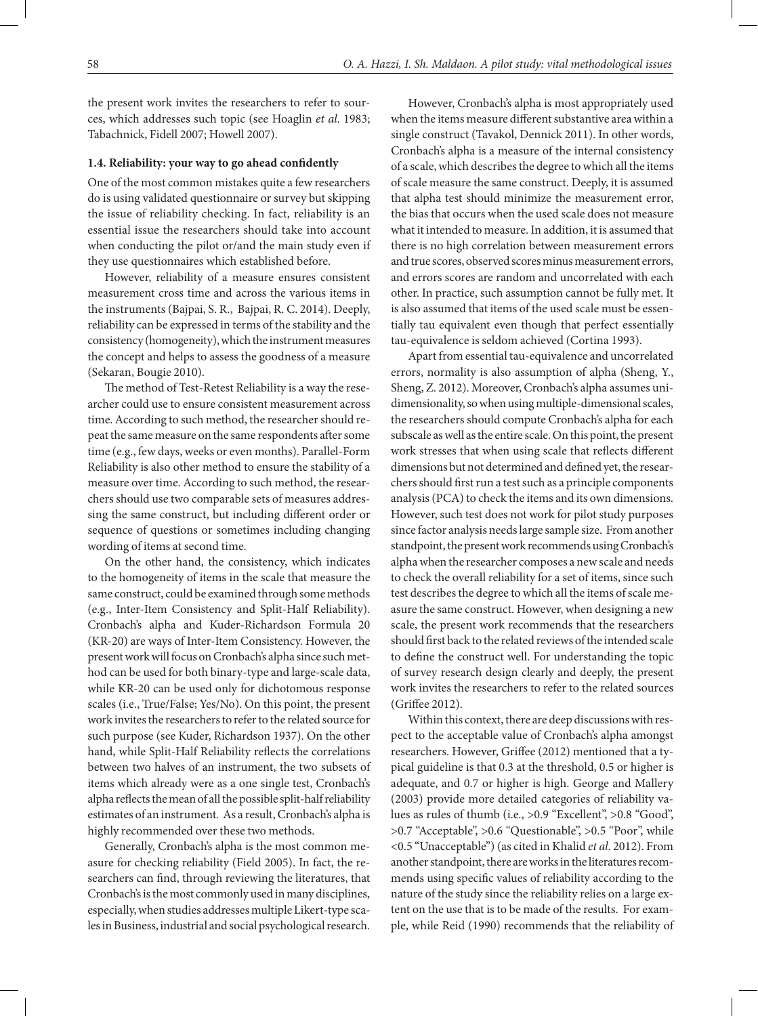the present work invites the researchers to refer to sources, which addresses such topic (see Hoaglin *et al*. 1983; Tabachnick, Fidell 2007; Howell 2007).

#### **1.4. Reliability: your way to go ahead confidently**

One of the most common mistakes quite a few researchers do is using validated questionnaire or survey but skipping the issue of reliability checking. In fact, reliability is an essential issue the researchers should take into account when conducting the pilot or/and the main study even if they use questionnaires which established before.

However, reliability of a measure ensures consistent measurement cross time and across the various items in the instruments (Bajpai, S. R., Bajpai, R. C. 2014). Deeply, reliability can be expressed in terms of the stability and the consistency (homogeneity), which the instrument measures the concept and helps to assess the goodness of a measure (Sekaran, Bougie 2010).

The method of Test-Retest Reliability is a way the researcher could use to ensure consistent measurement across time. According to such method, the researcher should repeat the same measure on the same respondents after some time (e.g., few days, weeks or even months). Parallel-Form Reliability is also other method to ensure the stability of a measure over time. According to such method, the researchers should use two comparable sets of measures addressing the same construct, but including different order or sequence of questions or sometimes including changing wording of items at second time.

On the other hand, the consistency, which indicates to the homogeneity of items in the scale that measure the same construct, could be examined through some methods (e.g., Inter-Item Consistency and Split-Half Reliability). Cronbach's alpha and Kuder-Richardson Formula 20 (KR-20) are ways of Inter-Item Consistency. However, the present work will focus on Cronbach's alpha since such method can be used for both binary-type and large-scale data, while KR-20 can be used only for dichotomous response scales (i.e., True/False; Yes/No). On this point, the present work invites the researchers to refer to the related source for such purpose (see Kuder, Richardson 1937). On the other hand, while Split-Half Reliability reflects the correlations between two halves of an instrument, the two subsets of items which already were as a one single test, Cronbach's alpha reflects the mean of all the possible split-half reliability estimates of an instrument. As a result, Cronbach's alpha is highly recommended over these two methods.

Generally, Cronbach's alpha is the most common measure for checking reliability (Field 2005). In fact, the researchers can find, through reviewing the literatures, that Cronbach's is the most commonly used in many disciplines, especially, when studies addresses multiple Likert-type scales in Business, industrial and social psychological research.

However, Cronbach's alpha is most appropriately used when the items measure different substantive area within a single construct (Tavakol, Dennick 2011). In other words, Cronbach's alpha is a measure of the internal consistency of a scale, which describes the degree to which all the items of scale measure the same construct. Deeply, it is assumed that alpha test should minimize the measurement error, the bias that occurs when the used scale does not measure what it intended to measure. In addition, it is assumed that there is no high correlation between measurement errors and true scores, observed scores minus measurement errors, and errors scores are random and uncorrelated with each other. In practice, such assumption cannot be fully met. It is also assumed that items of the used scale must be essentially tau equivalent even though that perfect essentially tau-equivalence is seldom achieved (Cortina 1993).

Apart from essential tau-equivalence and uncorrelated errors, normality is also assumption of alpha (Sheng, Y., Sheng, Z. 2012). Moreover, Cronbach's alpha assumes unidimensionality, so when using multiple-dimensional scales, the researchers should compute Cronbach's alpha for each subscale as well as the entire scale. On this point, the present work stresses that when using scale that reflects different dimensions but not determined and defined yet, the researchers should first run a test such as a principle components analysis (PCA) to check the items and its own dimensions. However, such test does not work for pilot study purposes since factor analysis needs large sample size. From another standpoint, the present work recommends using Cronbach's alpha when the researcher composes a new scale and needs to check the overall reliability for a set of items, since such test describes the degree to which all the items of scale measure the same construct. However, when designing a new scale, the present work recommends that the researchers should first back to the related reviews of the intended scale to define the construct well. For understanding the topic of survey research design clearly and deeply, the present work invites the researchers to refer to the related sources (Griffee 2012).

Within this context, there are deep discussions with respect to the acceptable value of Cronbach's alpha amongst researchers. However, Griffee (2012) mentioned that a typical guideline is that 0.3 at the threshold, 0.5 or higher is adequate, and 0.7 or higher is high. George and Mallery (2003) provide more detailed categories of reliability values as rules of thumb (i.e., >0.9 "Excellent", >0.8 "Good", >0.7 "Acceptable", >0.6 "Questionable", >0.5 "Poor", while <0.5 "Unacceptable") (as cited in Khalid *et al*. 2012). From another standpoint, there are works in the literatures recommends using specific values of reliability according to the nature of the study since the reliability relies on a large extent on the use that is to be made of the results. For example, while Reid (1990) recommends that the reliability of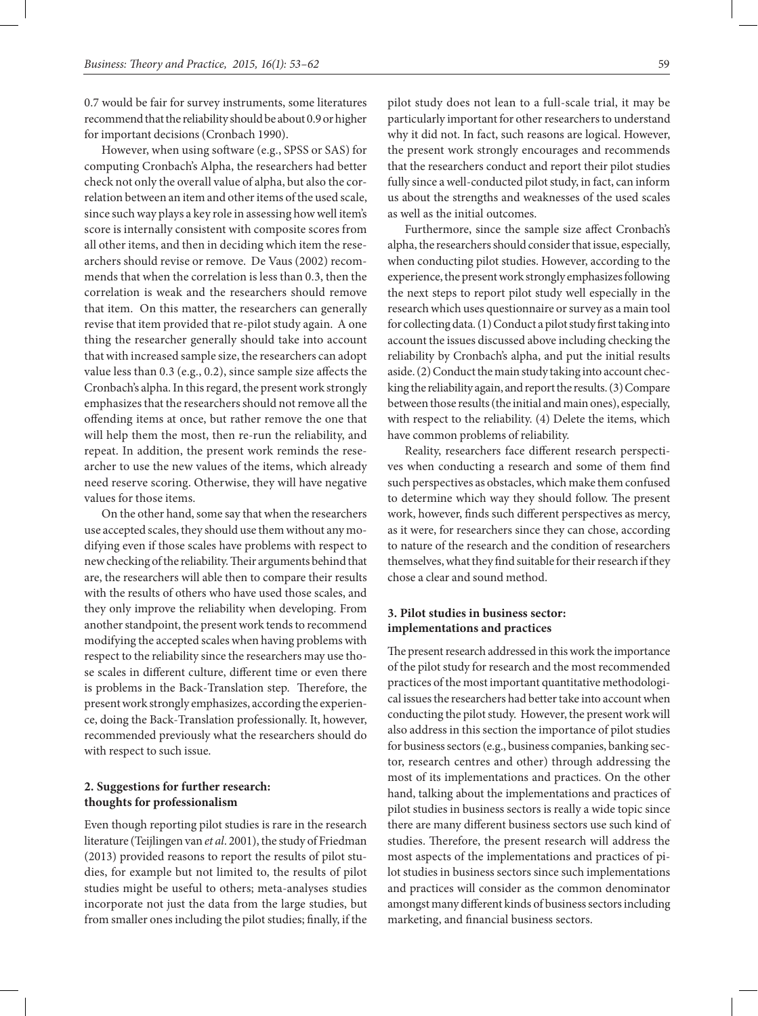0.7 would be fair for survey instruments, some literatures recommend that the reliability should be about 0.9 or higher for important decisions (Cronbach 1990).

However, when using software (e.g., SPSS or SAS) for computing Cronbach's Alpha, the researchers had better check not only the overall value of alpha, but also the correlation between an item and other items of the used scale, since such way plays a key role in assessing how well item's score is internally consistent with composite scores from all other items, and then in deciding which item the researchers should revise or remove. De Vaus (2002) recommends that when the correlation is less than 0.3, then the correlation is weak and the researchers should remove that item. On this matter, the researchers can generally revise that item provided that re-pilot study again. A one thing the researcher generally should take into account that with increased sample size, the researchers can adopt value less than 0.3 (e.g., 0.2), since sample size affects the Cronbach's alpha. In this regard, the present work strongly emphasizes that the researchers should not remove all the offending items at once, but rather remove the one that will help them the most, then re-run the reliability, and repeat. In addition, the present work reminds the researcher to use the new values of the items, which already need reserve scoring. Otherwise, they will have negative values for those items.

On the other hand, some say that when the researchers use accepted scales, they should use them without any modifying even if those scales have problems with respect to new checking of the reliability. Their arguments behind that are, the researchers will able then to compare their results with the results of others who have used those scales, and they only improve the reliability when developing. From another standpoint, the present work tends to recommend modifying the accepted scales when having problems with respect to the reliability since the researchers may use those scales in different culture, different time or even there is problems in the Back-Translation step. Therefore, the present work strongly emphasizes, according the experience, doing the Back-Translation professionally. It, however, recommended previously what the researchers should do with respect to such issue.

# **2. Suggestions for further research: thoughts for professionalism**

Even though reporting pilot studies is rare in the research literature (Teijlingen van *et al*. 2001), the study of Friedman (2013) provided reasons to report the results of pilot studies, for example but not limited to, the results of pilot studies might be useful to others; meta-analyses studies incorporate not just the data from the large studies, but from smaller ones including the pilot studies; finally, if the

pilot study does not lean to a full-scale trial, it may be particularly important for other researchers to understand why it did not. In fact, such reasons are logical. However, the present work strongly encourages and recommends that the researchers conduct and report their pilot studies fully since a well-conducted pilot study, in fact, can inform us about the strengths and weaknesses of the used scales as well as the initial outcomes.

Furthermore, since the sample size affect Cronbach's alpha, the researchers should consider that issue, especially, when conducting pilot studies. However, according to the experience, the present work strongly emphasizes following the next steps to report pilot study well especially in the research which uses questionnaire or survey as a main tool for collecting data. (1) Conduct a pilot study first taking into account the issues discussed above including checking the reliability by Cronbach's alpha, and put the initial results aside. (2) Conduct the main study taking into account checking the reliability again, and report the results. (3) Compare between those results (the initial and main ones), especially, with respect to the reliability. (4) Delete the items, which have common problems of reliability.

Reality, researchers face different research perspectives when conducting a research and some of them find such perspectives as obstacles, which make them confused to determine which way they should follow. The present work, however, finds such different perspectives as mercy, as it were, for researchers since they can chose, according to nature of the research and the condition of researchers themselves, what they find suitable for their research if they chose a clear and sound method.

# **3. Pilot studies in business sector: implementations and practices**

The present research addressed in this work the importance of the pilot study for research and the most recommended practices of the most important quantitative methodological issues the researchers had better take into account when conducting the pilot study. However, the present work will also address in this section the importance of pilot studies for business sectors (e.g., business companies, banking sector, research centres and other) through addressing the most of its implementations and practices. On the other hand, talking about the implementations and practices of pilot studies in business sectors is really a wide topic since there are many different business sectors use such kind of studies. Therefore, the present research will address the most aspects of the implementations and practices of pilot studies in business sectors since such implementations and practices will consider as the common denominator amongst many different kinds of business sectors including marketing, and financial business sectors.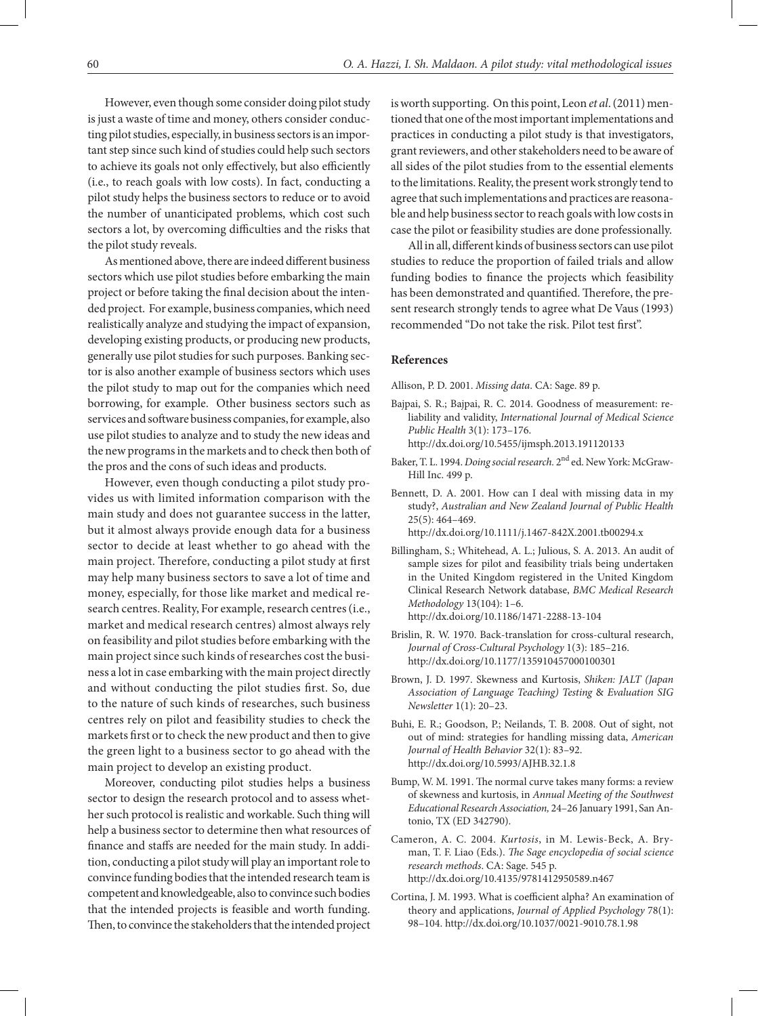However, even though some consider doing pilot study is just a waste of time and money, others consider conducting pilot studies, especially, in business sectors is an important step since such kind of studies could help such sectors to achieve its goals not only effectively, but also efficiently (i.e., to reach goals with low costs). In fact, conducting a pilot study helps the business sectors to reduce or to avoid the number of unanticipated problems, which cost such sectors a lot, by overcoming difficulties and the risks that the pilot study reveals.

As mentioned above, there are indeed different business sectors which use pilot studies before embarking the main project or before taking the final decision about the intended project. For example, business companies, which need realistically analyze and studying the impact of expansion, developing existing products, or producing new products, generally use pilot studies for such purposes. Banking sector is also another example of business sectors which uses the pilot study to map out for the companies which need borrowing, for example. Other business sectors such as services and software business companies, for example, also use pilot studies to analyze and to study the new ideas and the new programs in the markets and to check then both of the pros and the cons of such ideas and products.

However, even though conducting a pilot study provides us with limited information comparison with the main study and does not guarantee success in the latter, but it almost always provide enough data for a business sector to decide at least whether to go ahead with the main project. Therefore, conducting a pilot study at first may help many business sectors to save a lot of time and money, especially, for those like market and medical research centres. Reality, For example, research centres (i.e., market and medical research centres) almost always rely on feasibility and pilot studies before embarking with the main project since such kinds of researches cost the business a lot in case embarking with the main project directly and without conducting the pilot studies first. So, due to the nature of such kinds of researches, such business centres rely on pilot and feasibility studies to check the markets first or to check the new product and then to give the green light to a business sector to go ahead with the main project to develop an existing product.

Moreover, conducting pilot studies helps a business sector to design the research protocol and to assess whether such protocol is realistic and workable. Such thing will help a business sector to determine then what resources of finance and staffs are needed for the main study. In addition, conducting a pilot study will play an important role to convince funding bodies that the intended research team is competent and knowledgeable, also to convince such bodies that the intended projects is feasible and worth funding. Then, to convince the stakeholders that the intended project

is worth supporting. On this point, Leon *et al*. (2011) mentioned that one of the most important implementations and practices in conducting a pilot study is that investigators, grant reviewers, and other stakeholders need to be aware of all sides of the pilot studies from to the essential elements to the limitations. Reality, the present work strongly tend to agree that such implementations and practices are reasonable and help business sector to reach goals with low costs in case the pilot or feasibility studies are done professionally.

All in all, different kinds of business sectors can use pilot studies to reduce the proportion of failed trials and allow funding bodies to finance the projects which feasibility has been demonstrated and quantified. Therefore, the present research strongly tends to agree what De Vaus (1993) recommended "Do not take the risk. Pilot test first".

#### **References**

Allison, P. D. 2001. *Missing data*. CA: Sage. 89 p.

- Bajpai, S. R.; Bajpai, R. C. 2014. Goodness of measurement: reliability and validity, *International Journal of Medical Science Public Health* 3(1): 173–176. http://dx.doi.org/10.5455/ijmsph.2013.191120133
- Baker, T. L. 1994. *Doing social research.* 2nd ed. New York: McGraw-Hill Inc. 499 p.
- Bennett, D. A. 2001. How can I deal with missing data in my study?, *Australian and New Zealand Journal of Public Health* 25(5): 464–469. http://dx.doi.org/10.1111/j.1467-842X.2001.tb00294.x
- Billingham, S.; Whitehead, A. L.; Julious, S. A. 2013. An audit of sample sizes for pilot and feasibility trials being undertaken in the United Kingdom registered in the United Kingdom Clinical Research Network database, *BMC Medical Research Methodology* 13(104): 1–6. http://dx.doi.org/10.1186/1471-2288-13-104
- Brislin, R. W. 1970. Back-translation for cross-cultural research, *Journal of Cross-Cultural Psychology* 1(3): 185–216. http://dx.doi.org/10.1177/135910457000100301
- Brown, J. D. 1997. Skewness and Kurtosis, *Shiken: JALT (Japan Association of Language Teaching) Testing* & *Evaluation SIG Newsletter* 1(1): 20–23.
- Buhi, E. R.; Goodson, P.; Neilands, T. B. 2008. Out of sight, not out of mind: strategies for handling missing data, *American Journal of Health Behavior* 32(1): 83–92. http://dx.doi.org/10.5993/AJHB.32.1.8
- Bump, W. M. 1991. The normal curve takes many forms: a review of skewness and kurtosis, in *Annual Meeting of the Southwest Educational Research Association,* 24–26 January 1991, San Antonio, TX (ED 342790).
- Cameron, A. C. 2004. *Kurtosis*, in M. Lewis-Beck, A. Bryman, T. F. Liao (Eds.). *The Sage encyclopedia of social science research methods*. CA: Sage. 545 p. http://dx.doi.org/10.4135/9781412950589.n467
- Cortina, J. M. 1993. What is coefficient alpha? An examination of theory and applications, *Journal of Applied Psychology* 78(1): 98–104. http://dx.doi.org/10.1037/0021-9010.78.1.98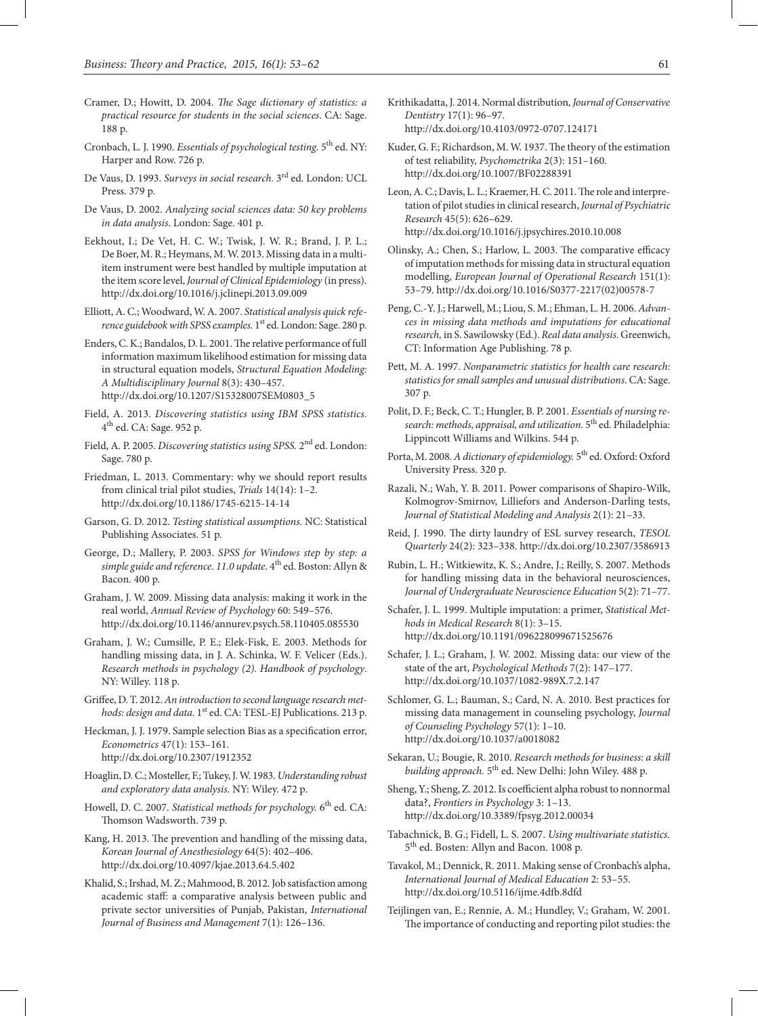- Cramer, D.; Howitt, D. 2004. *The Sage dictionary of statistics: a practical resource for students in the social sciences*. CA: Sage. 188 p.
- Cronbach, L. J. 1990. *Essentials of psychological testing*. <sup>5th</sup> ed. NY: Harper and Row. 726 p.
- De Vaus, D. 1993. *Surveys in social research.* 3rd ed. London: UCL Press. 379 p.
- De Vaus, D. 2002. *Analyzing social sciences data: 50 key problems in data analysis*. London: Sage. 401 p.
- Eekhout, I.; De Vet, H. C. W.; Twisk, J. W. R.; Brand, J. P. L.; De Boer, M. R.; Heymans, M. W. 2013. Missing data in a multiitem instrument were best handled by multiple imputation at the item score level, *Journal of Clinical Epidemiology* (in press). http://dx.doi.org/10.1016/j.jclinepi.2013.09.009
- Elliott, A. C.; Woodward, W. A. 2007. *Statistical analysis quick reference guidebook with SPSS examples.* 1<sup>st</sup> ed. London: Sage. 280 p.
- Enders, C. K.; Bandalos, D. L. 2001. The relative performance of full information maximum likelihood estimation for missing data in structural equation models, *Structural Equation Modeling: A Multidisciplinary Journal* 8(3): 430–457. http://dx.doi.org/10.1207/S15328007SEM0803\_5
- Field, A. 2013. *Discovering statistics using IBM SPSS statistics.* 4th ed. CA: Sage. 952 p.
- Field, A. P. 2005. *Discovering statistics using SPSS.* 2nd ed. London: Sage. 780 p.
- Friedman, L. 2013. Commentary: why we should report results from clinical trial pilot studies, *Trials* 14(14): 1–2. http://dx.doi.org/10.1186/1745-6215-14-14
- Garson, G. D. 2012. *Testing statistical assumptions*. NC: Statistical Publishing Associates. 51 p.
- George, D.; Mallery, P. 2003. *SPSS for Windows step by step: a simple guide and reference.* 11.0 update. 4<sup>th</sup> ed. Boston: Allyn & Bacon. 400 p.
- Graham, J. W. 2009. Missing data analysis: making it work in the real world, *Annual Review of Psychology* 60: 549–576. http://dx.doi.org/10.1146/annurev.psych.58.110405.085530
- Graham, J. W.; Cumsille, P. E.; Elek-Fisk, E. 2003. Methods for handling missing data, in J. A. Schinka, W. F. Velicer (Eds.). *Research methods in psychology (2)*. *Handbook of psychology*. NY: Willey. 118 p.
- Griffee, D. T. 2012. *An introduction to second language research methods: design and data.* 1<sup>st</sup> ed. CA: TESL-EJ Publications. 213 p.
- Heckman, J. J. 1979. Sample selection Bias as a specification error, *Econometrics* 47(1): 153–161. http://dx.doi.org/10.2307/1912352
- Hoaglin, D. C.; Mosteller, F.; Tukey, J. W. 1983. *Understanding robust and exploratory data analysis*. NY: Wiley. 472 p.
- Howell, D. C. 2007. *Statistical methods for psychology*. 6<sup>th</sup> ed. CA: Thomson Wadsworth. 739 p.
- Kang, H. 2013. The prevention and handling of the missing data, *Korean Journal of Anesthesiology* 64(5): 402–406. http://dx.doi.org/10.4097/kjae.2013.64.5.402
- Khalid, S.; Irshad, M. Z.; Mahmood, B. 2012. Job satisfaction among academic staff: a comparative analysis between public and private sector universities of Punjab, Pakistan, *International Journal of Business and Management* 7(1): 126–136.
- Krithikadatta, J. 2014. Normal distribution, *Journal of Conservative Dentistry* 17(1): 96–97. http://dx.doi.org/10.4103/0972-0707.124171
- Kuder, G. F.; Richardson, M. W. 1937. The theory of the estimation of test reliability, *Psychometrika* 2(3): 151–160. http://dx.doi.org/10.1007/BF02288391
- Leon, A. C.; Davis, L. L.; Kraemer, H. C. 2011. The role and interpretation of pilot studies in clinical research, *Journal of Psychiatric Research* 45(5): 626–629. http://dx.doi.org/10.1016/j.jpsychires.2010.10.008
- Olinsky, A.; Chen, S.; Harlow, L. 2003. The comparative efficacy of imputation methods for missing data in structural equation modelling, *European Journal of Operational Research* 151(1): 53–79. http://dx.doi.org/10.1016/S0377-2217(02)00578-7
- Peng, C.-Y. J.; Harwell, M.; Liou, S. M.; Ehman, L. H. 2006. *Advances in missing data methods and imputations for educational research,* in S. Sawilowsky (Ed.). *Real data analysis*. Greenwich, CT: Information Age Publishing. 78 p.
- Pett, M. A. 1997. *Nonparametric statistics for health care research: statistics for small samples and unusual distributions*. CA: Sage. 307 p.
- Polit, D. F.; Beck, C. T.; Hungler, B. P. 2001. *Essentials of nursing research: methods, appraisal, and utilization.* 5th ed. Philadelphia: Lippincott Williams and Wilkins. 544 p.
- Porta, M. 2008. A dictionary of epidemiology. 5<sup>th</sup> ed. Oxford: Oxford University Press. 320 p.
- Razali, N.; Wah, Y. B. 2011. Power comparisons of Shapiro-Wilk, Kolmogrov-Smirnov, Lilliefors and Anderson-Darling tests, *Journal of Statistical Modeling and Analysis* 2(1): 21–33.
- Reid, J. 1990. The dirty laundry of ESL survey research, *TESOL Quarterly* 24(2): 323–338. http://dx.doi.org/10.2307/3586913
- Rubin, L. H.; Witkiewitz, K. S.; Andre, J.; Reilly, S. 2007. Methods for handling missing data in the behavioral neurosciences, *Journal of Undergraduate Neuroscience Education* 5(2): 71–77.
- Schafer, J. L. 1999. Multiple imputation: a primer, *Statistical Methods in Medical Research* 8(1): 3–15. http://dx.doi.org/10.1191/096228099671525676
- Schafer, J. L.; Graham, J. W. 2002. Missing data: our view of the state of the art, *Psychological Methods* 7(2): 147–177. http://dx.doi.org/10.1037/1082-989X.7.2.147
- Schlomer, G. L.; Bauman, S.; Card, N. A. 2010. Best practices for missing data management in counseling psychology, *Journal of Counseling Psychology* 57(1): 1–10. http://dx.doi.org/10.1037/a0018082
- Sekaran, U.; Bougie, R. 2010. *Research methods for business: a skill building approach.* 5th ed. New Delhi: John Wiley. 488 p.
- Sheng, Y.; Sheng, Z. 2012. Is coefficient alpha robust to nonnormal data?, *Frontiers in Psychology* 3: 1–13. http://dx.doi.org/10.3389/fpsyg.2012.00034
- Tabachnick, B. G.; Fidell, L. S. 2007. *Using multivariate statistics.*  5th ed. Bosten: Allyn and Bacon. 1008 p.
- Tavakol, M.; Dennick, R. 2011. Making sense of Cronbach's alpha, *International Journal of Medical Education* 2: 53–55. http://dx.doi.org/10.5116/ijme.4dfb.8dfd
- Teijlingen van, E.; Rennie, A. M.; Hundley, V.; Graham, W. 2001. The importance of conducting and reporting pilot studies: the